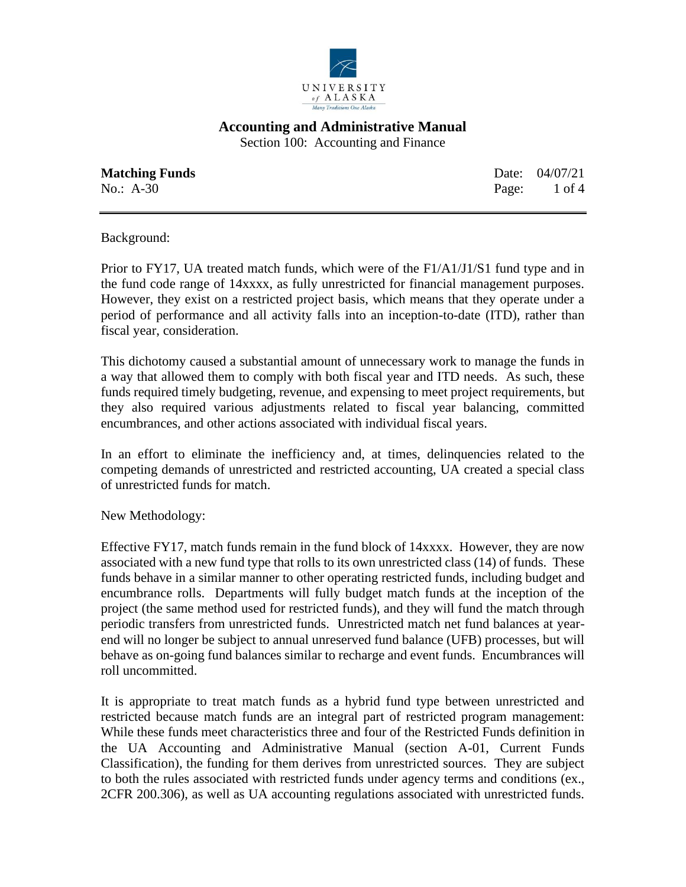

Section 100: Accounting and Finance

**Matching Funds Date:** 04/07/21 No.: A-30 Page: 1 of 4

Background:

Prior to FY17, UA treated match funds, which were of the F1/A1/J1/S1 fund type and in the fund code range of 14xxxx, as fully unrestricted for financial management purposes. However, they exist on a restricted project basis, which means that they operate under a period of performance and all activity falls into an inception-to-date (ITD), rather than fiscal year, consideration.

This dichotomy caused a substantial amount of unnecessary work to manage the funds in a way that allowed them to comply with both fiscal year and ITD needs. As such, these funds required timely budgeting, revenue, and expensing to meet project requirements, but they also required various adjustments related to fiscal year balancing, committed encumbrances, and other actions associated with individual fiscal years.

In an effort to eliminate the inefficiency and, at times, delinquencies related to the competing demands of unrestricted and restricted accounting, UA created a special class of unrestricted funds for match.

New Methodology:

Effective FY17, match funds remain in the fund block of 14xxxx. However, they are now associated with a new fund type that rolls to its own unrestricted class (14) of funds. These funds behave in a similar manner to other operating restricted funds, including budget and encumbrance rolls. Departments will fully budget match funds at the inception of the project (the same method used for restricted funds), and they will fund the match through periodic transfers from unrestricted funds. Unrestricted match net fund balances at yearend will no longer be subject to annual unreserved fund balance (UFB) processes, but will behave as on-going fund balances similar to recharge and event funds. Encumbrances will roll uncommitted.

It is appropriate to treat match funds as a hybrid fund type between unrestricted and restricted because match funds are an integral part of restricted program management: While these funds meet characteristics three and four of the Restricted Funds definition in the UA Accounting and Administrative Manual (section A-01, Current Funds Classification), the funding for them derives from unrestricted sources. They are subject to both the rules associated with restricted funds under agency terms and conditions (ex., 2CFR 200.306), as well as UA accounting regulations associated with unrestricted funds.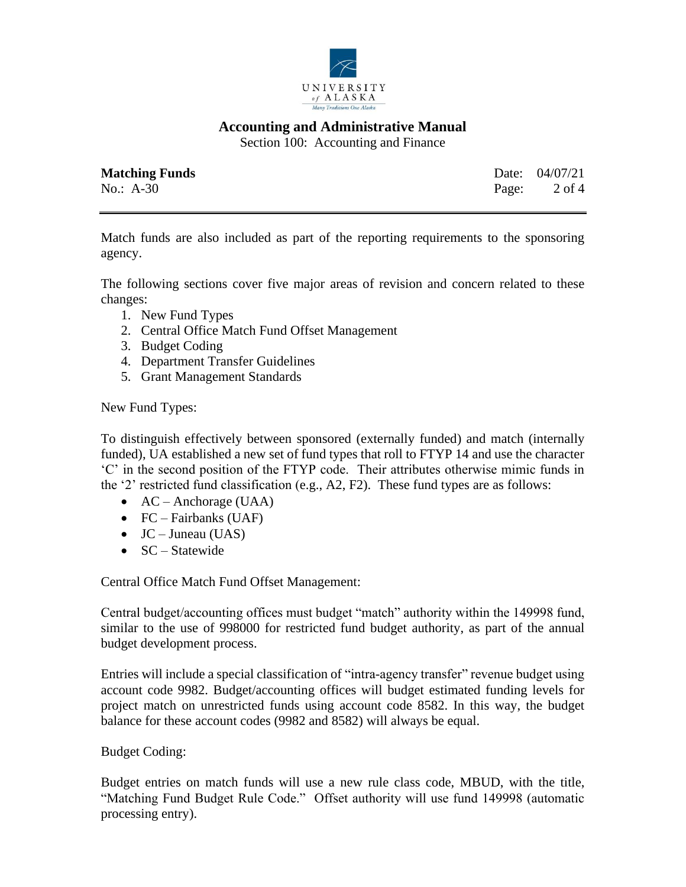

Section 100: Accounting and Finance

| <b>Matching Funds</b> | Date: 04/07/21          |
|-----------------------|-------------------------|
| No.: $A-30$           | Page: $2 \text{ of } 4$ |

Match funds are also included as part of the reporting requirements to the sponsoring agency.

The following sections cover five major areas of revision and concern related to these changes:

- 1. New Fund Types
- 2. Central Office Match Fund Offset Management
- 3. Budget Coding
- 4. Department Transfer Guidelines
- 5. Grant Management Standards

New Fund Types:

To distinguish effectively between sponsored (externally funded) and match (internally funded), UA established a new set of fund types that roll to FTYP 14 and use the character 'C' in the second position of the FTYP code. Their attributes otherwise mimic funds in the '2' restricted fund classification (e.g., A2, F2). These fund types are as follows:

- $AC -$ Anchorage (UAA)
- FC Fairbanks (UAF)
- $JC Juneau (UAS)$
- SC Statewide

Central Office Match Fund Offset Management:

Central budget/accounting offices must budget "match" authority within the 149998 fund, similar to the use of 998000 for restricted fund budget authority, as part of the annual budget development process.

Entries will include a special classification of "intra-agency transfer" revenue budget using account code 9982. Budget/accounting offices will budget estimated funding levels for project match on unrestricted funds using account code 8582. In this way, the budget balance for these account codes (9982 and 8582) will always be equal.

# Budget Coding:

Budget entries on match funds will use a new rule class code, MBUD, with the title, "Matching Fund Budget Rule Code." Offset authority will use fund 149998 (automatic processing entry).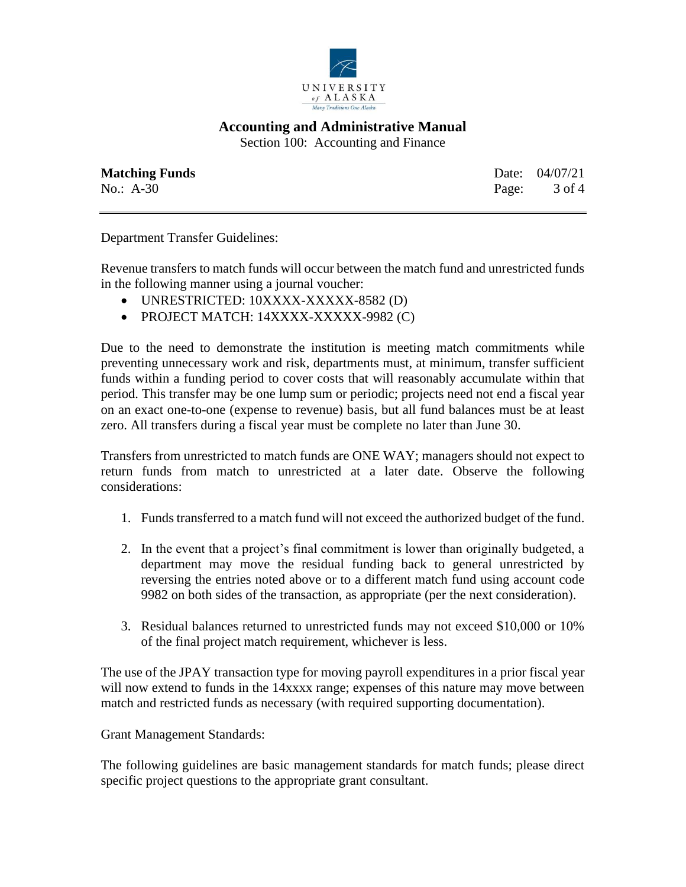

Section 100: Accounting and Finance

| <b>Matching Funds</b> | Date: 04/07/21 |
|-----------------------|----------------|
| $No.: A-30$           | Page: 3 of 4   |

Department Transfer Guidelines:

Revenue transfers to match funds will occur between the match fund and unrestricted funds in the following manner using a journal voucher:

- UNRESTRICTED: 10XXXX-XXXXX-8582 (D)
- PROJECT MATCH: 14XXXX-XXXXX-9982 (C)

Due to the need to demonstrate the institution is meeting match commitments while preventing unnecessary work and risk, departments must, at minimum, transfer sufficient funds within a funding period to cover costs that will reasonably accumulate within that period. This transfer may be one lump sum or periodic; projects need not end a fiscal year on an exact one-to-one (expense to revenue) basis, but all fund balances must be at least zero. All transfers during a fiscal year must be complete no later than June 30.

Transfers from unrestricted to match funds are ONE WAY; managers should not expect to return funds from match to unrestricted at a later date. Observe the following considerations:

- 1. Funds transferred to a match fund will not exceed the authorized budget of the fund.
- 2. In the event that a project's final commitment is lower than originally budgeted, a department may move the residual funding back to general unrestricted by reversing the entries noted above or to a different match fund using account code 9982 on both sides of the transaction, as appropriate (per the next consideration).
- 3. Residual balances returned to unrestricted funds may not exceed \$10,000 or 10% of the final project match requirement, whichever is less.

The use of the JPAY transaction type for moving payroll expenditures in a prior fiscal year will now extend to funds in the 14xxxx range; expenses of this nature may move between match and restricted funds as necessary (with required supporting documentation).

Grant Management Standards:

The following guidelines are basic management standards for match funds; please direct specific project questions to the appropriate grant consultant.